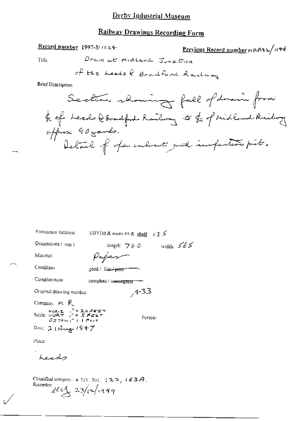# Railway Drawings Recording Form

Drain at midland Junetica Title

Record number 1997-5/1024

$$
\frac{\text{Previous Record number} \times \text{R432}}{1146}
$$

$$
\sigma^{\mathcal{P}}_{\tau}
$$
 the *heads*  $\theta$  *Brachford*  $\theta$  *addway*

**Brief Description** 

| Permanent location                                                                                                                                                                                                                            | DBYIM & room 49 & shelf $\rightarrow$ 3 $\sim$ |
|-----------------------------------------------------------------------------------------------------------------------------------------------------------------------------------------------------------------------------------------------|------------------------------------------------|
| Dimensions (mm)                                                                                                                                                                                                                               | width: $565$<br>length: $760$                  |
| Material                                                                                                                                                                                                                                      | Paper                                          |
| Condition                                                                                                                                                                                                                                     | 300d / fair <del>' poor</del>                  |
| Completeness                                                                                                                                                                                                                                  | complete / incomplete                          |
| Original drawing number                                                                                                                                                                                                                       | $7 + 33$                                       |
| Company, M 呎                                                                                                                                                                                                                                  |                                                |
| $\frac{\text{max} \cdot \mathbf{z}}{\text{N} \cdot \text{max} \cdot \mathbf{z}} = \int_{0}^{\pi} \mathbf{z} \cdot \mathbf{z} \cdot \mathbf{z} \cdot \mathbf{z} \cdot \mathbf{z}$<br>$0$ $2$ $7$ $3$ $\mu$ $\mu^2$ $z$ $1$ $1$ $7$ $6$ $8$ $7$ | Person:                                        |
| Dao: 21 Augu 1847                                                                                                                                                                                                                             |                                                |
| Place:                                                                                                                                                                                                                                        |                                                |
| Leod                                                                                                                                                                                                                                          |                                                |

Classified category: 4,721,301, 122, 163A.<br>Recorder:<br> $2\frac{163}{2}$  23/12/1999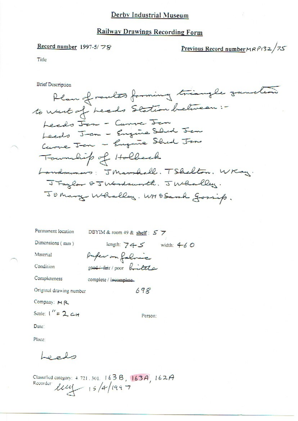# **Railway Drawings Recording Form**

#### Record number 1997-5/78

Previous Record number  $MRP132/75$ 

Title

**Brief Description** 

Permanent location

\nDBYIM & room 49 & shelf: 
$$
5
$$
  $\overline{}$ 

\nDimensions (mm)

\nlength:  $74-5$  width:  $4-6$   $\overline{)$ 

\nMaterial

\n*Pufer on fact*  $\overline{)$ 

\nCondition

\nCompleteness

\nCompleteness

\nConpleteness

\nOriginal drawing number

\nGraphic,  $69\%$ 

\nComparing:  $M \times N$ 

\nScale:  $1'' = 2$   $\overline{)$ 

\nPerson: 

\nPerson: 

\nPerson: 

\nPerson: 

\nPerson: 

\nPerson: 

\nPerson: 

\nPerson: 

\nPerson: 

\nPerson: 

\nConver:  $1'' = 2$   $\overline{)$ 

\nConvolution:  $1'' = 2$   $\overline{)$ 

\nPerson: 

\nDown:  $1'' = 2$   $\overline{)$ 

\nConvolution:  $1'' = 2$   $\overline{)$ 

\nConvolution:  $1'' = 2$   $\overline{)$ 

\nConvolution:  $1'' = 2$   $\overline{)$ 

\nConvolution:  $1'' = 2$   $\overline{)$ 

\nConvolution:  $1'' = 2$   $\overline{)$ 

\nDown:  $1'' = 2$   $\overline{)$ 

\nDown:  $1'' = 2$   $\overline{)$ 

\nDown:  $1'' = 2$   $\overline{)$ 

\nDown:  $1'' = 2$   $\overline{)$ 

\nDown:  $1'' =$ 

Date:

Place:

Leeds

Classified category: 4.721.301. 1638, 163A, 162A<br>Recorder  $144 - 15/4/199$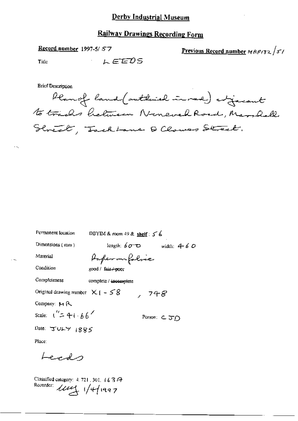#### **Railway Drawings Recording Form**

#### Record number 1997-5/57

Previous Record number MRP132/51

Title

LEEDS

**Brief Description** 

Planof land (outbuild inned) expecte to trades helmen Nonevel Road, Marshall Street, Jackbane Q Clowes Street.

| Permanent location                                              | DBYIM & room 49 & shelf: $5\%$      |  |
|-----------------------------------------------------------------|-------------------------------------|--|
| Dimensions $(mn)$                                               | length: $60^\circ$<br>width: $4-60$ |  |
| Material                                                        | Paperonfolice                       |  |
| Condition                                                       | good / fair <del>/-poo</del> r      |  |
| Completeness                                                    | complete / incomplete               |  |
| Original drawing number $X \upharpoonright - S \upharpoonright$ | , 748                               |  |
| Company: $M R$                                                  |                                     |  |
| Scale: $\binom{n}{2} + \binom{n}{6}$                            | Person: こJD                         |  |
| Date: JULY 1885                                                 |                                     |  |
| Place:                                                          |                                     |  |

Lecas

Classified category: 4, 721, 301, 16 3 A Recorder: 114/1997